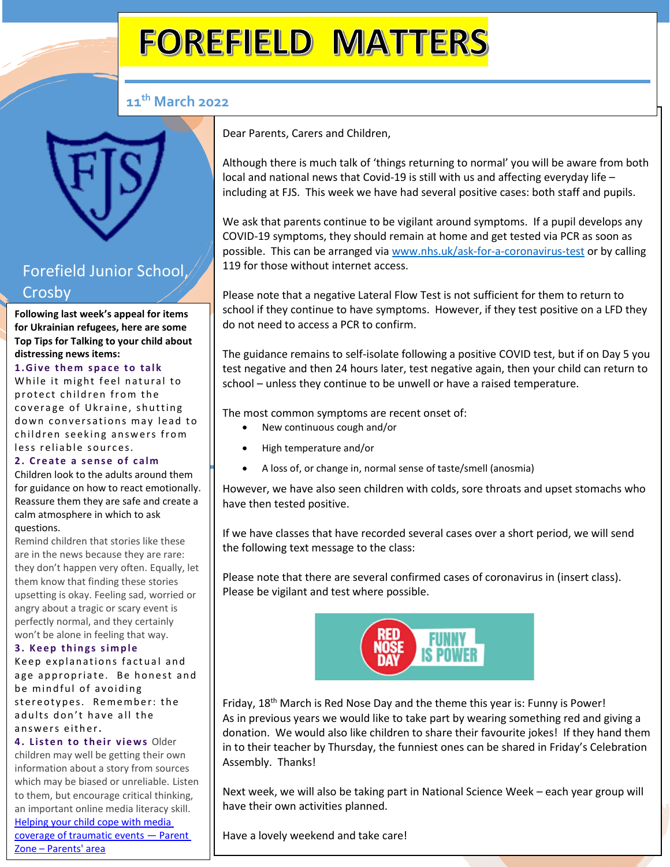# **FOREFIELD MATTERS**

### **11th March 2022**

# Forefield Junior School, Crosby

 **Following last week's appeal for items**   **Top Tips for Talking to your child about for Ukrainian refugees, here are some distressing news items:**

# **1 .G i v e t h e m s p a c e t o ta l k**

wnile it might feel hatura<br>protect children from the While it might feel natural to coverage of Ukraine, shutting down conversations may lead to children seeking answers from less reliable sources.

#### 2. Create a sense of calm

Children look to the adults around them for guidance on how to react emotionally. Reassure them they are safe and create a calm atmosphere in which to ask questions.

Remind children that stories like these are in the news because they are rare: they don't happen very often. Equally, let them know that finding these stories upsetting is okay. Feeling sad, worried or angry about a tragic or scary event is perfectly normal, and they certainly won't be alone in feeling that way.

#### **3. Keep things simple**

Keep explanations factual and age appropriate. Be honest and be mindful of avoiding stereotypes. Remember: the adults don't have all the a n s w e r s e i t h e r**.**

**4. Listen to their views Older** children may well be getting their own information about a story from sources which may be biased or unreliable. Listen to them, but encourage critical thinking, an important online media literacy skill.

[Helping your child cope with media](https://www.parents.parentzone.org.uk/morearticles/helping-your-child-cope-with-media-coverage-of-traumatic-events)  [coverage of traumatic events](https://www.parents.parentzone.org.uk/morearticles/helping-your-child-cope-with-media-coverage-of-traumatic-events) — Parent Zone – [Parents' area](https://www.parents.parentzone.org.uk/morearticles/helping-your-child-cope-with-media-coverage-of-traumatic-events)

Dear Parents, Carers and Children,

Although there is much talk of 'things returning to normal' you will be aware from both local and national news that Covid-19 is still with us and affecting everyday life – including at FJS. This week we have had several positive cases: both staff and pupils.

We ask that parents continue to be vigilant around symptoms. If a pupil develops any COVID-19 symptoms, they should remain at home and get tested via PCR as soon as possible. This can be arranged via [www.nhs.uk/ask-for-a-coronavirus-test](http://www.nhs.uk/ask-for-a-coronavirus-test) or by calling 119 for those without internet access.

Please note that a negative Lateral Flow Test is not sufficient for them to return to school if they continue to have symptoms. However, if they test positive on a LFD they do not need to access a PCR to confirm.

The guidance remains to self-isolate following a positive COVID test, but if on Day 5 you test negative and then 24 hours later, test negative again, then your child can return to school – unless they continue to be unwell or have a raised temperature.

The most common symptoms are recent onset of:

- New continuous cough and/or
- High temperature and/or
- A loss of, or change in, normal sense of taste/smell (anosmia)

However, we have also seen children with colds, sore throats and upset stomachs who have then tested positive.

If we have classes that have recorded several cases over a short period, we will send the following text message to the class:

Please note that there are several confirmed cases of coronavirus in (insert class). Please be vigilant and test where possible.



Friday, 18<sup>th</sup> March is Red Nose Day and the theme this year is: Funny is Power! As in previous years we would like to take part by wearing something red and giving a donation. We would also like children to share their favourite jokes! If they hand them in to their teacher by Thursday, the funniest ones can be shared in Friday's Celebration Assembly. Thanks!

Next week, we will also be taking part in National Science Week – each year group will have their own activities planned.

Have a lovely weekend and take care!